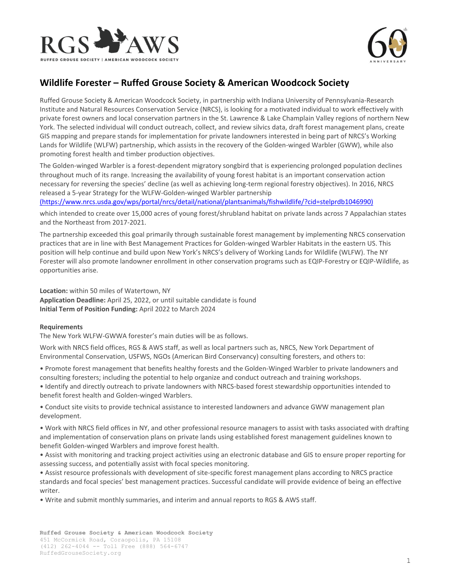



## **Wildlife Forester – Ruffed Grouse Society & American Woodcock Society**

Ruffed Grouse Society & American Woodcock Society, in partnership with Indiana University of Pennsylvania-Research Institute and Natural Resources Conservation Service (NRCS), is looking for a motivated individual to work effectively with private forest owners and local conservation partners in the St. Lawrence & Lake Champlain Valley regions of northern New York. The selected individual will conduct outreach, collect, and review silvics data, draft forest management plans, create GIS mapping and prepare stands for implementation for private landowners interested in being part of NRCS's Working Lands for Wildlife (WLFW) partnership, which assists in the recovery of the Golden-winged Warbler (GWW), while also promoting forest health and timber production objectives.

The Golden-winged Warbler is a forest-dependent migratory songbird that is experiencing prolonged population declines throughout much of its range. Increasing the availability of young forest habitat is an important conservation action necessary for reversing the species' decline (as well as achieving long-term regional forestry objectives). In 2016, NRCS released a 5-year Strategy for the WLFW-Golden-winged Warbler partnership

[\(https://www.nrcs.usda.gov/wps/portal/nrcs/detail/national/plantsanimals/fishwildlife/?cid=stelprdb1046990\)](https://www.nrcs.usda.gov/wps/portal/nrcs/detail/national/plantsanimals/fishwildlife/?cid=stelprdb1046990)

which intended to create over 15,000 acres of young forest/shrubland habitat on private lands across 7 Appalachian states and the Northeast from 2017-2021.

The partnership exceeded this goal primarily through sustainable forest management by implementing NRCS conservation practices that are in line with Best Management Practices for Golden-winged Warbler Habitats in the eastern US. This position will help continue and build upon New York's NRCS's delivery of Working Lands for Wildlife (WLFW). The NY Forester will also promote landowner enrollment in other conservation programs such as EQIP-Forestry or EQIP-Wildlife, as opportunities arise.

**Location:** within 50 miles of Watertown, NY

**Application Deadline:** April 25, 2022, or until suitable candidate is found **Initial Term of Position Funding:** April 2022 to March 2024

## **Requirements**

The New York WLFW-GWWA forester's main duties will be as follows.

Work with NRCS field offices, RGS & AWS staff, as well as local partners such as, NRCS, New York Department of Environmental Conservation, USFWS, NGOs (American Bird Conservancy) consulting foresters, and others to:

• Promote forest management that benefits healthy forests and the Golden-Winged Warbler to private landowners and consulting foresters; including the potential to help organize and conduct outreach and training workshops.

• Identify and directly outreach to private landowners with NRCS-based forest stewardship opportunities intended to benefit forest health and Golden-winged Warblers.

• Conduct site visits to provide technical assistance to interested landowners and advance GWW management plan development.

• Work with NRCS field offices in NY, and other professional resource managers to assist with tasks associated with drafting and implementation of conservation plans on private lands using established forest management guidelines known to benefit Golden-winged Warblers and improve forest health.

• Assist with monitoring and tracking project activities using an electronic database and GIS to ensure proper reporting for assessing success, and potentially assist with focal species monitoring.

• Assist resource professionals with development of site-specific forest management plans according to NRCS practice standards and focal species' best management practices. Successful candidate will provide evidence of being an effective writer.

• Write and submit monthly summaries, and interim and annual reports to RGS & AWS staff.